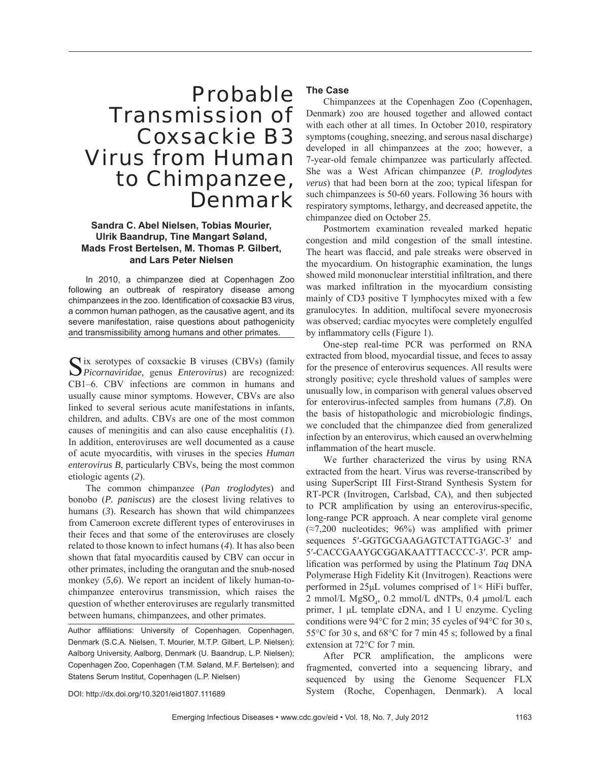# Probable Transmission of Coxsackie B3 Virus from Human to Chimpanzee, Denmark

# **Sandra C. Abel Nielsen, Tobias Mourier, Ulrik Baandrup, Tine Mangart Søland, Mads Frost Bertelsen, M. Thomas P. Gilbert, and Lars Peter Nielsen**

In 2010, a chimpanzee died at Copenhagen Zoo following an outbreak of respiratory disease among chimpanzees in the zoo. Identification of coxsackie B3 virus, a common human pathogen, as the causative agent, and its severe manifestation, raise questions about pathogenicity and transmissibility among humans and other primates.

 $\bigcap$ ix serotypes of coxsackie B viruses (CBVs) (family *Picornaviridae,* genus *Enterovirus*) are recognized: CB1–6. CBV infections are common in humans and usually cause minor symptoms. However, CBVs are also linked to several serious acute manifestations in infants, children, and adults. CBVs are one of the most common causes of meningitis and can also cause encephalitis (*1*). In addition, enteroviruses are well documented as a cause of acute myocarditis, with viruses in the species *Human enterovirus B*, particularly CBVs, being the most common etiologic agents (*2*).

The common chimpanzee (*Pan troglodytes*) and bonobo (*P. paniscus*) are the closest living relatives to humans (*3*). Research has shown that wild chimpanzees from Cameroon excrete different types of enteroviruses in their feces and that some of the enteroviruses are closely related to those known to infect humans (*4*). It has also been shown that fatal myocarditis caused by CBV can occur in other primates, including the orangutan and the snub-nosed monkey (5,6). We report an incident of likely human-tochimpanzee enterovirus transmission, which raises the question of whether enteroviruses are regularly transmitted between humans, chimpanzees, and other primates.

Author affiliations: University of Copenhagen, Copenhagen, Denmark (S.C.A. Nielsen, T. Mourier, M.T.P. Gilbert, L.P. Nielsen); Aalborg University, Aalborg, Denmark (U. Baandrup, L.P. Nielsen); Copenhagen Zoo, Copenhagen (T.M. Søland, M.F. Bertelsen); and Statens Serum Institut, Copenhagen (L.P. Nielsen)

## **The Case**

Chimpanzees at the Copenhagen Zoo (Copenhagen, Denmark) zoo are housed together and allowed contact with each other at all times. In October 2010, respiratory symptoms (coughing, sneezing, and serous nasal discharge) developed in all chimpanzees at the zoo; however, a 7-year-old female chimpanzee was particularly affected. She was a West African chimpanzee (*P. troglodytes verus*) that had been born at the zoo; typical lifespan for such chimpanzees is 50-60 years. Following 36 hours with respiratory symptoms, lethargy, and decreased appetite, the chimpanzee died on October 25.

Postmortem examination revealed marked hepatic congestion and mild congestion of the small intestine. The heart was flaccid, and pale streaks were observed in the myocardium. On histographic examination, the lungs showed mild mononuclear interstitial infiltration, and there was marked infiltration in the myocardium consisting mainly of CD3 positive T lymphocytes mixed with a few granulocytes. In addition, multifocal severe myonecrosis was observed; cardiac myocytes were completely engulfed by inflammatory cells (Figure 1).

One-step real-time PCR was performed on RNA extracted from blood, myocardial tissue, and feces to assay for the presence of enterovirus sequences. All results were strongly positive; cycle threshold values of samples were unusually low, in comparison with general values observed for enterovirus-infected samples from humans (*7*,*8*). On the basis of histopathologic and microbiologic findings, we concluded that the chimpanzee died from generalized infection by an enterovirus, which caused an overwhelming inflammation of the heart muscle.

We further characterized the virus by using RNA extracted from the heart. Virus was reverse-transcribed by using SuperScript III First-Strand Synthesis System for RT-PCR (Invitrogen, Carlsbad, CA), and then subjected to PCR amplification by using an enterovirus-specific, long-range PCR approach. A near complete viral genome  $(\approx 7,200$  nucleotides; 96%) was amplified with primer sequences 5'-GGTGCGAAGAGTCTATTGAGC-3' and 5′-CACCGAAYGCGGAKAATTTACCCC-3′. PCR amplification was performed by using the Platinum *Taq* DNA Polymerase High Fidelity Kit (Invitrogen). Reactions were performed in 25μL volumes comprised of 1× HiFi buffer, 2 mmol/L  $MgSO_4$ , 0.2 mmol/L dNTPs, 0.4  $\mu$ mol/L each primer, 1 μL template cDNA, and 1 U enzyme. Cycling conditions were 94°C for 2 min; 35 cycles of 94°C for 30 s, 55 $\degree$ C for 30 s, and 68 $\degree$ C for 7 min 45 s; followed by a final extension at 72°C for 7 min.

After PCR amplification, the amplicons were fragmented, converted into a sequencing library, and sequenced by using the Genome Sequencer FLX System (Roche, Copenhagen, Denmark). A local

DOI: http://dx.doi.org/10.3201/eid1807.111689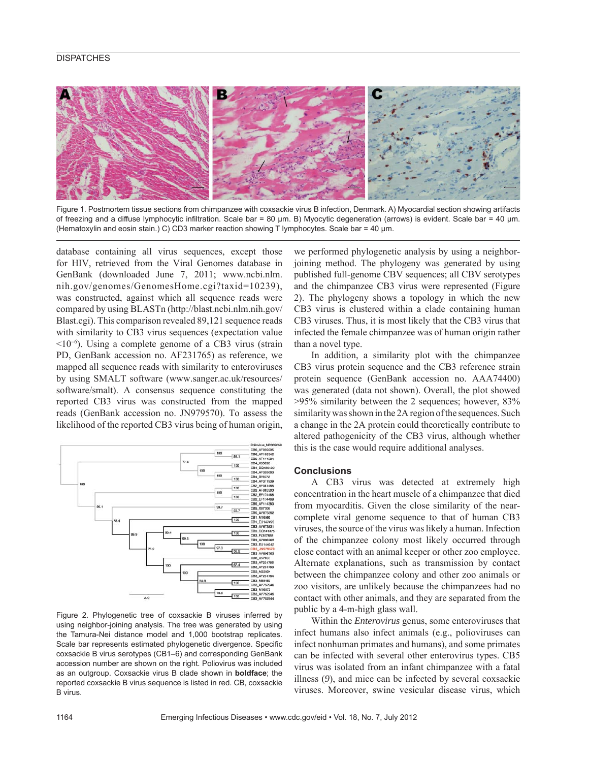## **DISPATCHES**



Figure 1. Postmortem tissue sections from chimpanzee with coxsackie virus B infection, Denmark. A) Myocardial section showing artifacts of freezing and a diffuse lymphocytic infiltration. Scale bar = 80 μm. B) Myocytic degeneration (arrows) is evident. Scale bar = 40 μm. (Hematoxylin and eosin stain.) C) CD3 marker reaction showing T lymphocytes. Scale bar = 40 μm.

database containing all virus sequences, except those for HIV, retrieved from the Viral Genomes database in GenBank (downloaded June 7, 2011; www.ncbi.nlm. nih.gov/genomes/GenomesHome.cgi?taxid=10239), was constructed, against which all sequence reads were compared by using BLASTn (http://blast.ncbi.nlm.nih.gov/ Blast.cgi). This comparison revealed 89,121 sequence reads with similarity to CB3 virus sequences (expectation value <10<sup>−</sup><sup>6</sup> ). Using a complete genome of a CB3 virus (strain PD, GenBank accession no. AF231765) as reference, we mapped all sequence reads with similarity to enteroviruses by using SMALT software (www.sanger.ac.uk/resources/ software/smalt). A consensus sequence constituting the reported CB3 virus was constructed from the mapped reads (GenBank accession no. JN979570). To assess the likelihood of the reported CB3 virus being of human origin,



Figure 2. Phylogenetic tree of coxsackie B viruses inferred by using neighbor-joining analysis. The tree was generated by using the Tamura-Nei distance model and 1,000 bootstrap replicates. Scale bar represents estimated phylogenetic divergence. Specific coxsackie B virus serotypes (CB1–6) and corresponding GenBank accession number are shown on the right. Poliovirus was included as an outgroup. Coxsackie virus B clade shown in **boldface**; the reported coxsackie B virus sequence is listed in red. CB, coxsackie B virus.

we performed phylogenetic analysis by using a neighborjoining method. The phylogeny was generated by using published full-genome CBV sequences; all CBV serotypes and the chimpanzee CB3 virus were represented (Figure 2). The phylogeny shows a topology in which the new CB3 virus is clustered within a clade containing human CB3 viruses. Thus, it is most likely that the CB3 virus that infected the female chimpanzee was of human origin rather than a novel type.

In addition, a similarity plot with the chimpanzee CB3 virus protein sequence and the CB3 reference strain protein sequence (GenBank accession no. AAA74400) was generated (data not shown). Overall, the plot showed >95% similarity between the 2 sequences; however, 83% similarity was shown in the 2A region of the sequences. Such a change in the 2A protein could theoretically contribute to altered pathogenicity of the CB3 virus, although whether this is the case would require additional analyses.

## **Conclusions**

A CB3 virus was detected at extremely high concentration in the heart muscle of a chimpanzee that died from myocarditis. Given the close similarity of the nearcomplete viral genome sequence to that of human CB3 viruses, the source of the virus was likely a human. Infection of the chimpanzee colony most likely occurred through close contact with an animal keeper or other zoo employee. Alternate explanations, such as transmission by contact between the chimpanzee colony and other zoo animals or zoo visitors, are unlikely because the chimpanzees had no contact with other animals, and they are separated from the public by a 4-m-high glass wall.

Within the *Enterovirus* genus, some enteroviruses that infect humans also infect animals (e.g., polioviruses can infect nonhuman primates and humans), and some primates can be infected with several other enterovirus types. CB5 virus was isolated from an infant chimpanzee with a fatal illness (*9*), and mice can be infected by several coxsackie viruses. Moreover, swine vesicular disease virus, which